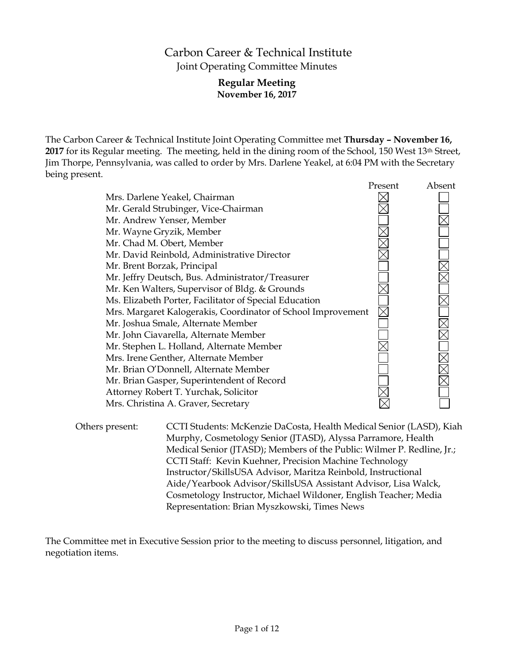# Carbon Career & Technical Institute Joint Operating Committee Minutes

## **Regular Meeting November 16, 2017**

The Carbon Career & Technical Institute Joint Operating Committee met **Thursday – November 16,**  2017 for its Regular meeting. The meeting, held in the dining room of the School, 150 West 13<sup>th</sup> Street, Jim Thorpe, Pennsylvania, was called to order by Mrs. Darlene Yeakel, at 6:04 PM with the Secretary being present.

|                                                              | Present | Absent |
|--------------------------------------------------------------|---------|--------|
| Mrs. Darlene Yeakel, Chairman                                |         |        |
| Mr. Gerald Strubinger, Vice-Chairman                         |         |        |
| Mr. Andrew Yenser, Member                                    |         |        |
| Mr. Wayne Gryzik, Member                                     |         |        |
| Mr. Chad M. Obert, Member                                    |         |        |
| Mr. David Reinbold, Administrative Director                  |         |        |
| Mr. Brent Borzak, Principal                                  |         |        |
| Mr. Jeffry Deutsch, Bus. Administrator/Treasurer             |         |        |
| Mr. Ken Walters, Supervisor of Bldg. & Grounds               |         |        |
| Ms. Elizabeth Porter, Facilitator of Special Education       |         |        |
| Mrs. Margaret Kalogerakis, Coordinator of School Improvement |         |        |
| Mr. Joshua Smale, Alternate Member                           |         |        |
| Mr. John Ciavarella, Alternate Member                        |         |        |
| Mr. Stephen L. Holland, Alternate Member                     |         |        |
| Mrs. Irene Genther, Alternate Member                         |         |        |
| Mr. Brian O'Donnell, Alternate Member                        |         |        |
| Mr. Brian Gasper, Superintendent of Record                   |         |        |
| Attorney Robert T. Yurchak, Solicitor                        |         |        |
| Mrs. Christina A. Graver, Secretary                          |         |        |
|                                                              |         |        |

Others present: CCTI Students: McKenzie DaCosta, Health Medical Senior (LASD), Kiah Murphy, Cosmetology Senior (JTASD), Alyssa Parramore, Health Medical Senior (JTASD); Members of the Public: Wilmer P. Redline, Jr.; CCTI Staff: Kevin Kuehner, Precision Machine Technology Instructor/SkillsUSA Advisor, Maritza Reinbold, Instructional Aide/Yearbook Advisor/SkillsUSA Assistant Advisor, Lisa Walck, Cosmetology Instructor, Michael Wildoner, English Teacher; Media Representation: Brian Myszkowski, Times News

The Committee met in Executive Session prior to the meeting to discuss personnel, litigation, and negotiation items.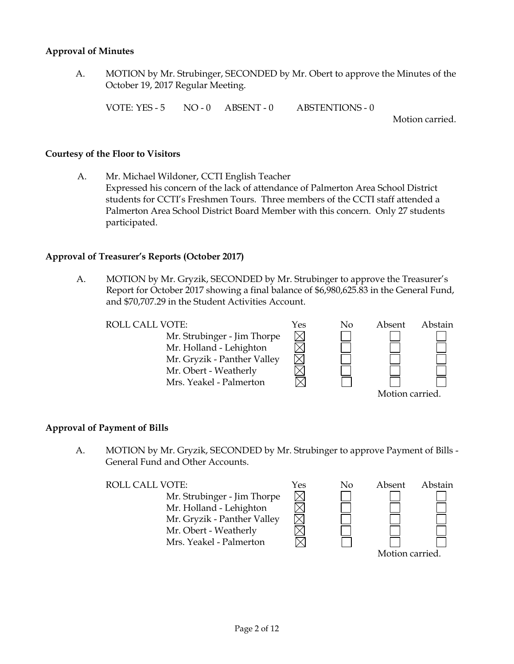#### **Approval of Minutes**

A. MOTION by Mr. Strubinger, SECONDED by Mr. Obert to approve the Minutes of the October 19, 2017 Regular Meeting.

VOTE: YES - 5 NO - 0 ABSENT - 0 ABSTENTIONS - 0

Motion carried.

#### **Courtesy of the Floor to Visitors**

A. Mr. Michael Wildoner, CCTI English Teacher Expressed his concern of the lack of attendance of Palmerton Area School District students for CCTI's Freshmen Tours. Three members of the CCTI staff attended a Palmerton Area School District Board Member with this concern. Only 27 students participated.

#### **Approval of Treasurer's Reports (October 2017)**

A. MOTION by Mr. Gryzik, SECONDED by Mr. Strubinger to approve the Treasurer's Report for October 2017 showing a final balance of \$6,980,625.83 in the General Fund, and \$70,707.29 in the Student Activities Account.

 $\boxtimes$ 

 $\boxtimes$ 

Mr. Strubinger - Jim Thorpe Mr. Holland - Lehighton Mr. Gryzik - Panther Valley Mr. Obert - Weatherly Mrs. Yeakel - Palmerton



## **Approval of Payment of Bills**

A. MOTION by Mr. Gryzik, SECONDED by Mr. Strubinger to approve Payment of Bills - General Fund and Other Accounts.

Mr. Strubinger - Jim Thorpe Mr. Holland - Lehighton Mr. Gryzik - Panther Valley Mr. Obert - Weatherly Mrs. Yeakel - Palmerton

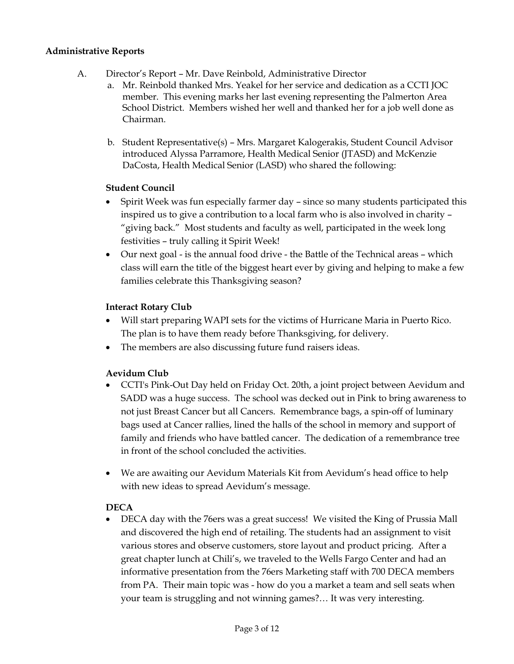## **Administrative Reports**

- A. Director's Report Mr. Dave Reinbold, Administrative Director
	- a. Mr. Reinbold thanked Mrs. Yeakel for her service and dedication as a CCTI JOC member. This evening marks her last evening representing the Palmerton Area School District. Members wished her well and thanked her for a job well done as Chairman.
	- b. Student Representative(s) Mrs. Margaret Kalogerakis, Student Council Advisor introduced Alyssa Parramore, Health Medical Senior (JTASD) and McKenzie DaCosta, Health Medical Senior (LASD) who shared the following:

## **Student Council**

- Spirit Week was fun especially farmer day since so many students participated this inspired us to give a contribution to a local farm who is also involved in charity – "giving back." Most students and faculty as well, participated in the week long festivities – truly calling it Spirit Week!
- Our next goal is the annual food drive the Battle of the Technical areas which class will earn the title of the biggest heart ever by giving and helping to make a few families celebrate this Thanksgiving season?

## **Interact Rotary Club**

- Will start preparing WAPI sets for the victims of Hurricane Maria in Puerto Rico. The plan is to have them ready before Thanksgiving, for delivery.
- The members are also discussing future fund raisers ideas.

## **Aevidum Club**

- CCTI's Pink-Out Day held on Friday Oct. 20th, a joint project between Aevidum and SADD was a huge success. The school was decked out in Pink to bring awareness to not just Breast Cancer but all Cancers. Remembrance bags, a spin-off of luminary bags used at Cancer rallies, lined the halls of the school in memory and support of family and friends who have battled cancer. The dedication of a remembrance tree in front of the school concluded the activities.
- We are awaiting our Aevidum Materials Kit from Aevidum's head office to help with new ideas to spread Aevidum's message.

## **DECA**

• DECA day with the 76ers was a great success! We visited the King of Prussia Mall and discovered the high end of retailing. The students had an assignment to visit various stores and observe customers, store layout and product pricing. After a great chapter lunch at Chili's, we traveled to the Wells Fargo Center and had an informative presentation from the 76ers Marketing staff with 700 DECA members from PA. Their main topic was - how do you a market a team and sell seats when your team is struggling and not winning games?… It was very interesting.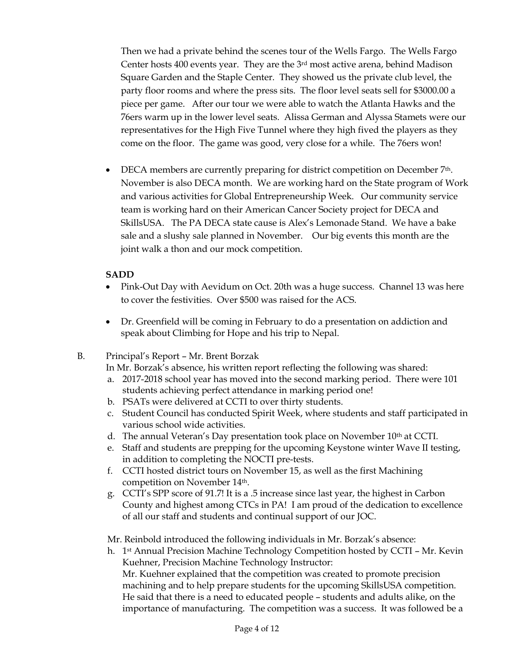Then we had a private behind the scenes tour of the Wells Fargo. The Wells Fargo Center hosts 400 events year. They are the 3rd most active arena, behind Madison Square Garden and the Staple Center. They showed us the private club level, the party floor rooms and where the press sits. The floor level seats sell for \$3000.00 a piece per game. After our tour we were able to watch the Atlanta Hawks and the 76ers warm up in the lower level seats. Alissa German and Alyssa Stamets were our representatives for the High Five Tunnel where they high fived the players as they come on the floor. The game was good, very close for a while. The 76ers won!

• DECA members are currently preparing for district competition on December 7<sup>th</sup>. November is also DECA month. We are working hard on the State program of Work and various activities for Global Entrepreneurship Week. Our community service team is working hard on their American Cancer Society project for DECA and SkillsUSA. The PA DECA state cause is Alex's Lemonade Stand. We have a bake sale and a slushy sale planned in November. Our big events this month are the joint walk a thon and our mock competition.

## **SADD**

- Pink-Out Day with Aevidum on Oct. 20th was a huge success. Channel 13 was here to cover the festivities. Over \$500 was raised for the ACS.
- Dr. Greenfield will be coming in February to do a presentation on addiction and speak about Climbing for Hope and his trip to Nepal.

## B. Principal's Report – Mr. Brent Borzak

In Mr. Borzak's absence, his written report reflecting the following was shared:

- a. 2017-2018 school year has moved into the second marking period. There were 101 students achieving perfect attendance in marking period one!
- b. PSATs were delivered at CCTI to over thirty students.
- c. Student Council has conducted Spirit Week, where students and staff participated in various school wide activities.
- d. The annual Veteran's Day presentation took place on November 10th at CCTI.
- e. Staff and students are prepping for the upcoming Keystone winter Wave II testing, in addition to completing the NOCTI pre-tests.
- f. CCTI hosted district tours on November 15, as well as the first Machining competition on November 14th.
- g. CCTI's SPP score of 91.7! It is a .5 increase since last year, the highest in Carbon County and highest among CTCs in PA! I am proud of the dedication to excellence of all our staff and students and continual support of our JOC.

Mr. Reinbold introduced the following individuals in Mr. Borzak's absence:

h. 1st Annual Precision Machine Technology Competition hosted by CCTI – Mr. Kevin Kuehner, Precision Machine Technology Instructor: Mr. Kuehner explained that the competition was created to promote precision machining and to help prepare students for the upcoming SkillsUSA competition. He said that there is a need to educated people – students and adults alike, on the importance of manufacturing. The competition was a success. It was followed be a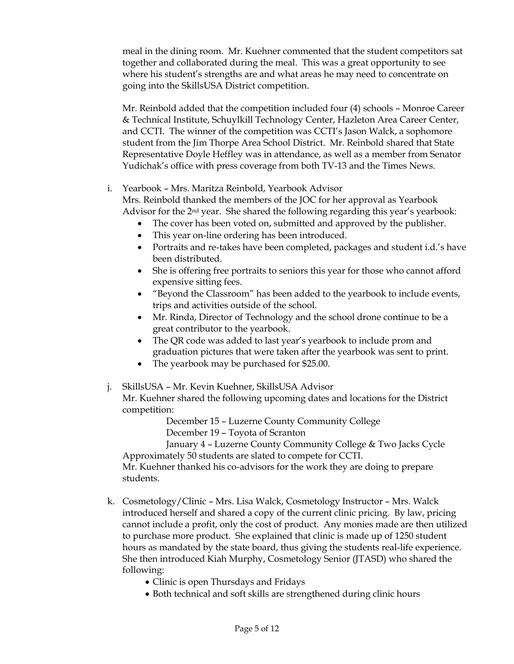meal in the dining room. Mr. Kuehner commented that the student competitors sat together and collaborated during the meal. This was a great opportunity to see where his student's strengths are and what areas he may need to concentrate on going into the SkillsUSA District competition.

Mr. Reinbold added that the competition included four (4) schools – Monroe Career & Technical Institute, Schuylkill Technology Center, Hazleton Area Career Center, and CCTI. The winner of the competition was CCTI's Jason Walck, a sophomore student from the Jim Thorpe Area School District. Mr. Reinbold shared that State Representative Doyle Heffley was in attendance, as well as a member from Senator Yudichak's office with press coverage from both TV-13 and the Times News.

i. Yearbook – Mrs. Maritza Reinbold, Yearbook Advisor

Mrs. Reinbold thanked the members of the JOC for her approval as Yearbook Advisor for the 2nd year. She shared the following regarding this year's yearbook:

- The cover has been voted on, submitted and approved by the publisher.
- This year on-line ordering has been introduced.
- Portraits and re-takes have been completed, packages and student i.d.'s have been distributed.
- She is offering free portraits to seniors this year for those who cannot afford expensive sitting fees.
- "Beyond the Classroom" has been added to the yearbook to include events, trips and activities outside of the school.
- Mr. Rinda, Director of Technology and the school drone continue to be a great contributor to the yearbook.
- The QR code was added to last year's yearbook to include prom and graduation pictures that were taken after the yearbook was sent to print.
- The yearbook may be purchased for \$25.00.
- j. SkillsUSA Mr. Kevin Kuehner, SkillsUSA Advisor

Mr. Kuehner shared the following upcoming dates and locations for the District competition:

> December 15 – Luzerne County Community College December 19 – Toyota of Scranton

January 4 – Luzerne County Community College & Two Jacks Cycle Approximately 50 students are slated to compete for CCTI.

Mr. Kuehner thanked his co-advisors for the work they are doing to prepare students.

- k. Cosmetology/Clinic Mrs. Lisa Walck, Cosmetology Instructor Mrs. Walck introduced herself and shared a copy of the current clinic pricing. By law, pricing cannot include a profit, only the cost of product. Any monies made are then utilized to purchase more product. She explained that clinic is made up of 1250 student hours as mandated by the state board, thus giving the students real-life experience. She then introduced Kiah Murphy, Cosmetology Senior (JTASD) who shared the following:
	- Clinic is open Thursdays and Fridays
	- Both technical and soft skills are strengthened during clinic hours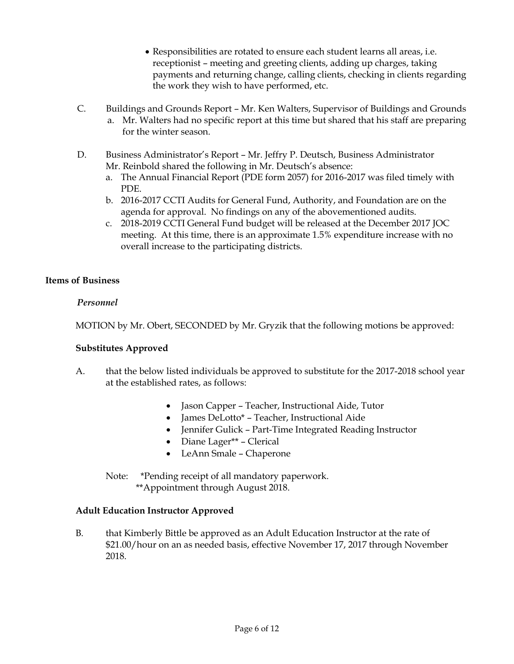- Responsibilities are rotated to ensure each student learns all areas, i.e. receptionist – meeting and greeting clients, adding up charges, taking payments and returning change, calling clients, checking in clients regarding the work they wish to have performed, etc.
- C. Buildings and Grounds Report Mr. Ken Walters, Supervisor of Buildings and Grounds a. Mr. Walters had no specific report at this time but shared that his staff are preparing for the winter season.
- D. Business Administrator's Report Mr. Jeffry P. Deutsch, Business Administrator Mr. Reinbold shared the following in Mr. Deutsch's absence:
	- a. The Annual Financial Report (PDE form 2057) for 2016-2017 was filed timely with PDE.
	- b. 2016-2017 CCTI Audits for General Fund, Authority, and Foundation are on the agenda for approval. No findings on any of the abovementioned audits.
	- c. 2018-2019 CCTI General Fund budget will be released at the December 2017 JOC meeting. At this time, there is an approximate 1.5% expenditure increase with no overall increase to the participating districts.

## **Items of Business**

## *Personnel*

MOTION by Mr. Obert, SECONDED by Mr. Gryzik that the following motions be approved:

## **Substitutes Approved**

- A. that the below listed individuals be approved to substitute for the 2017-2018 school year at the established rates, as follows:
	- Jason Capper Teacher, Instructional Aide, Tutor
	- James DeLotto\* Teacher, Instructional Aide
	- Jennifer Gulick Part-Time Integrated Reading Instructor
	- Diane Lager\*\* Clerical
	- LeAnn Smale Chaperone

Note: \*Pending receipt of all mandatory paperwork. \*\*Appointment through August 2018.

## **Adult Education Instructor Approved**

B. that Kimberly Bittle be approved as an Adult Education Instructor at the rate of \$21.00/hour on an as needed basis, effective November 17, 2017 through November 2018.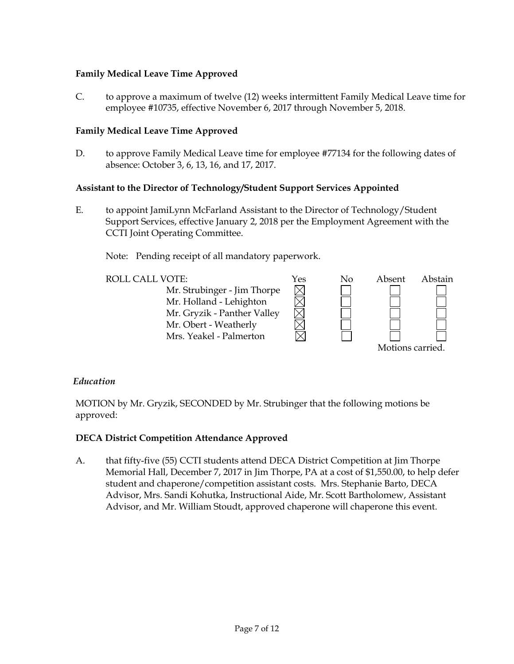## **Family Medical Leave Time Approved**

C. to approve a maximum of twelve (12) weeks intermittent Family Medical Leave time for employee #10735, effective November 6, 2017 through November 5, 2018.

## **Family Medical Leave Time Approved**

D. to approve Family Medical Leave time for employee #77134 for the following dates of absence: October 3, 6, 13, 16, and 17, 2017.

## **Assistant to the Director of Technology/Student Support Services Appointed**

E. to appoint JamiLynn McFarland Assistant to the Director of Technology/Student Support Services, effective January 2, 2018 per the Employment Agreement with the CCTI Joint Operating Committee.

Note: Pending receipt of all mandatory paperwork.

Mr. Strubinger - Jim Thorpe Mr. Holland - Lehighton Mr. Gryzik - Panther Valley Mr. Obert - Weatherly Mrs. Yeakel - Palmerton



## *Education*

MOTION by Mr. Gryzik, SECONDED by Mr. Strubinger that the following motions be approved:

## **DECA District Competition Attendance Approved**

A. that fifty-five (55) CCTI students attend DECA District Competition at Jim Thorpe Memorial Hall, December 7, 2017 in Jim Thorpe, PA at a cost of \$1,550.00, to help defer student and chaperone/competition assistant costs. Mrs. Stephanie Barto, DECA Advisor, Mrs. Sandi Kohutka, Instructional Aide, Mr. Scott Bartholomew, Assistant Advisor, and Mr. William Stoudt, approved chaperone will chaperone this event.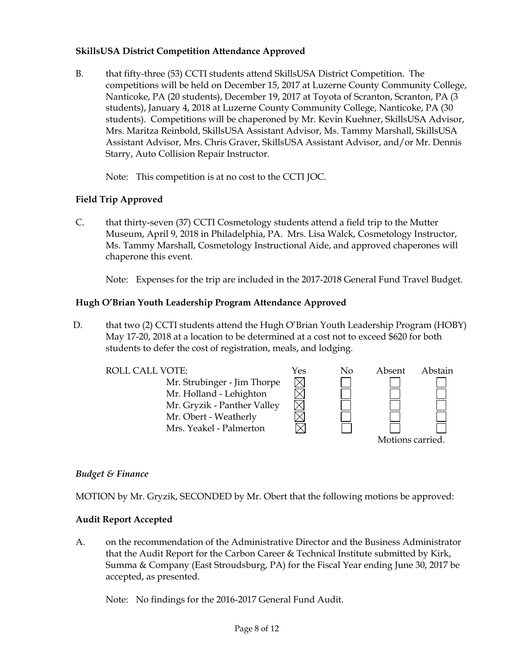## **SkillsUSA District Competition Attendance Approved**

B. that fifty-three (53) CCTI students attend SkillsUSA District Competition. The competitions will be held on December 15, 2017 at Luzerne County Community College, Nanticoke, PA (20 students), December 19, 2017 at Toyota of Scranton, Scranton, PA (3 students), January 4, 2018 at Luzerne County Community College, Nanticoke, PA (30 students). Competitions will be chaperoned by Mr. Kevin Kuehner, SkillsUSA Advisor, Mrs. Maritza Reinbold, SkillsUSA Assistant Advisor, Ms. Tammy Marshall, SkillsUSA Assistant Advisor, Mrs. Chris Graver, SkillsUSA Assistant Advisor, and/or Mr. Dennis Starry, Auto Collision Repair Instructor.

Note: This competition is at no cost to the CCTI JOC.

## **Field Trip Approved**

C. that thirty-seven (37) CCTI Cosmetology students attend a field trip to the Mutter Museum, April 9, 2018 in Philadelphia, PA. Mrs. Lisa Walck, Cosmetology Instructor, Ms. Tammy Marshall, Cosmetology Instructional Aide, and approved chaperones will chaperone this event.

Note: Expenses for the trip are included in the 2017-2018 General Fund Travel Budget.

## **Hugh O'Brian Youth Leadership Program Attendance Approved**

D. that two (2) CCTI students attend the Hugh O'Brian Youth Leadership Program (HOBY) May 17-20, 2018 at a location to be determined at a cost not to exceed \$620 for both students to defer the cost of registration, meals, and lodging.



## *Budget & Finance*

MOTION by Mr. Gryzik, SECONDED by Mr. Obert that the following motions be approved:

## **Audit Report Accepted**

A. on the recommendation of the Administrative Director and the Business Administrator that the Audit Report for the Carbon Career & Technical Institute submitted by Kirk, Summa & Company (East Stroudsburg, PA) for the Fiscal Year ending June 30, 2017 be accepted, as presented.

Note: No findings for the 2016-2017 General Fund Audit.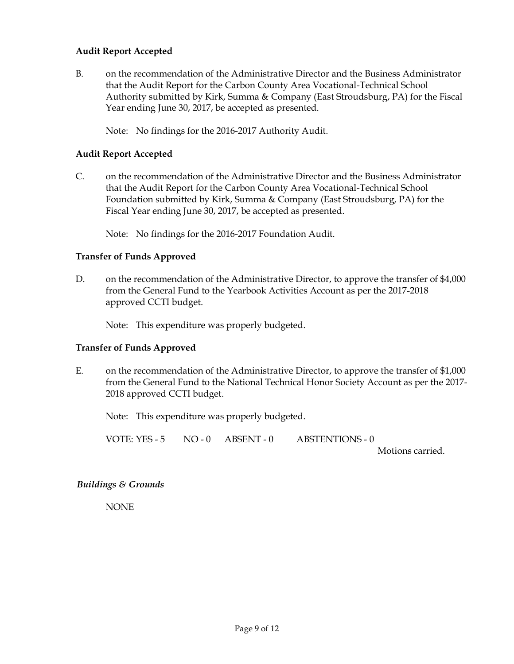## **Audit Report Accepted**

B. on the recommendation of the Administrative Director and the Business Administrator that the Audit Report for the Carbon County Area Vocational-Technical School Authority submitted by Kirk, Summa & Company (East Stroudsburg, PA) for the Fiscal Year ending June 30, 2017, be accepted as presented.

Note: No findings for the 2016-2017 Authority Audit.

## **Audit Report Accepted**

C. on the recommendation of the Administrative Director and the Business Administrator that the Audit Report for the Carbon County Area Vocational-Technical School Foundation submitted by Kirk, Summa & Company (East Stroudsburg, PA) for the Fiscal Year ending June 30, 2017, be accepted as presented.

Note: No findings for the 2016-2017 Foundation Audit.

## **Transfer of Funds Approved**

D. on the recommendation of the Administrative Director, to approve the transfer of \$4,000 from the General Fund to the Yearbook Activities Account as per the 2017-2018 approved CCTI budget.

Note: This expenditure was properly budgeted.

## **Transfer of Funds Approved**

E. on the recommendation of the Administrative Director, to approve the transfer of \$1,000 from the General Fund to the National Technical Honor Society Account as per the 2017- 2018 approved CCTI budget.

Note: This expenditure was properly budgeted.

VOTE: YES - 5 NO - 0 ABSENT - 0 ABSTENTIONS - 0

Motions carried.

## *Buildings & Grounds*

NONE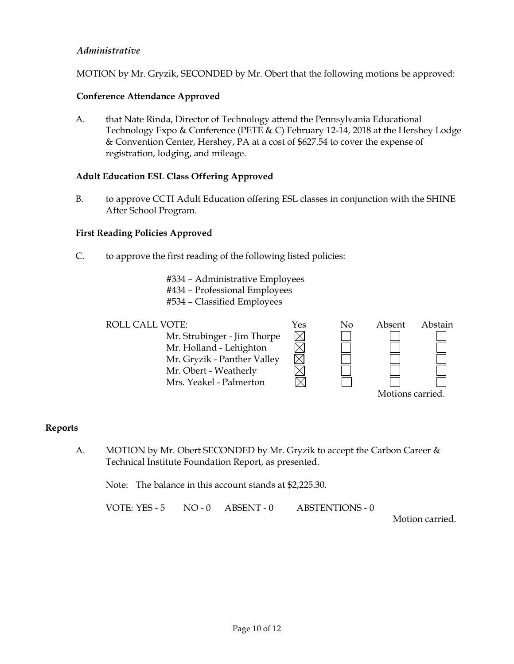## *Administrative*

MOTION by Mr. Gryzik, SECONDED by Mr. Obert that the following motions be approved:

## **Conference Attendance Approved**

A. that Nate Rinda, Director of Technology attend the Pennsylvania Educational Technology Expo & Conference (PETE & C) February 12-14, 2018 at the Hershey Lodge & Convention Center, Hershey, PA at a cost of \$627.54 to cover the expense of registration, lodging, and mileage.

## **Adult Education ESL Class Offering Approved**

B. to approve CCTI Adult Education offering ESL classes in conjunction with the SHINE After School Program.

 $\boxtimes$ 

## **First Reading Policies Approved**

- C. to approve the first reading of the following listed policies:
	- #334 Administrative Employees
	- #434 Professional Employees
	- #534 Classified Employees

Mr. Strubinger - Jim Thorpe Mr. Holland - Lehighton Mr. Gryzik - Panther Valley Mr. Obert - Weatherly Mrs. Yeakel - Palmerton



#### **Reports**

A. MOTION by Mr. Obert SECONDED by Mr. Gryzik to accept the Carbon Career & Technical Institute Foundation Report, as presented.

Note: The balance in this account stands at \$2,225.30.

VOTE: YES - 5 NO - 0 ABSENT - 0 ABSTENTIONS - 0

Motion carried.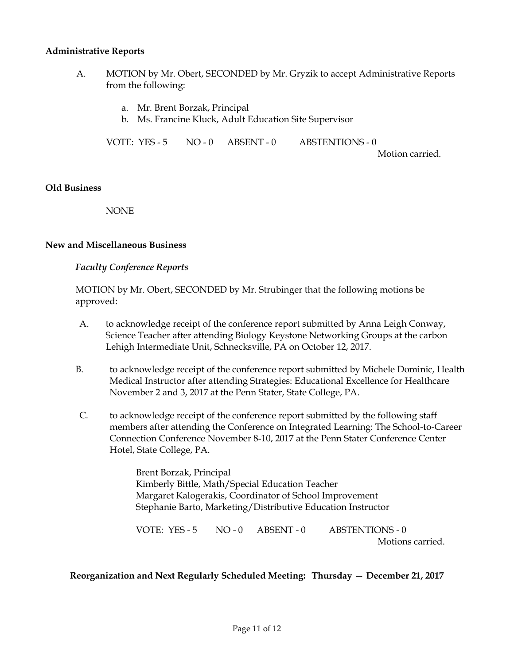#### **Administrative Reports**

- A. MOTION by Mr. Obert, SECONDED by Mr. Gryzik to accept Administrative Reports from the following:
	- a. Mr. Brent Borzak, Principal
	- b. Ms. Francine Kluck, Adult Education Site Supervisor

VOTE: YES - 5 NO - 0 ABSENT - 0 ABSTENTIONS - 0

Motion carried.

#### **Old Business**

NONE

#### **New and Miscellaneous Business**

## *Faculty Conference Reports*

MOTION by Mr. Obert, SECONDED by Mr. Strubinger that the following motions be approved:

- A. to acknowledge receipt of the conference report submitted by Anna Leigh Conway, Science Teacher after attending Biology Keystone Networking Groups at the carbon Lehigh Intermediate Unit, Schnecksville, PA on October 12, 2017.
- B. to acknowledge receipt of the conference report submitted by Michele Dominic, Health Medical Instructor after attending Strategies: Educational Excellence for Healthcare November 2 and 3, 2017 at the Penn Stater, State College, PA.
- C. to acknowledge receipt of the conference report submitted by the following staff members after attending the Conference on Integrated Learning: The School-to-Career Connection Conference November 8-10, 2017 at the Penn Stater Conference Center Hotel, State College, PA.

Brent Borzak, Principal Kimberly Bittle, Math/Special Education Teacher Margaret Kalogerakis, Coordinator of School Improvement Stephanie Barto, Marketing/Distributive Education Instructor

VOTE: YES - 5 NO - 0 ABSENT - 0 ABSTENTIONS - 0 Motions carried.

## **Reorganization and Next Regularly Scheduled Meeting: Thursday** — **December 21, 2017**